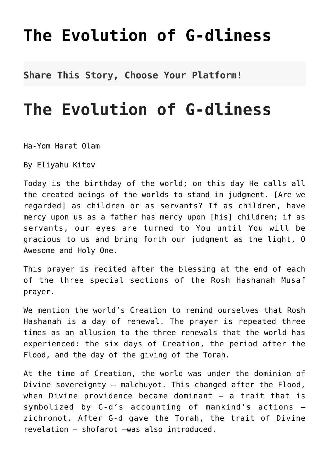## **[The Evolution of G-dliness](http://noahide.org/the-evolution-of-g-dliness/)**

**Share This Story, Choose Your Platform!**

## **The Evolution of G-dliness**

Ha-Yom Harat Olam

By Eliyahu Kitov

Today is the birthday of the world; on this day He calls all the created beings of the worlds to stand in judgment. [Are we regarded] as children or as servants? If as children, have mercy upon us as a father has mercy upon [his] children; if as servants, our eyes are turned to You until You will be gracious to us and bring forth our judgment as the light, O Awesome and Holy One.

This prayer is recited after the blessing at the end of each of the three special sections of the Rosh Hashanah Musaf prayer.

We mention the world's Creation to remind ourselves that Rosh Hashanah is a day of renewal. The prayer is repeated three times as an allusion to the three renewals that the world has experienced: the six days of Creation, the period after the Flood, and the day of the giving of the Torah.

At the time of Creation, the world was under the dominion of Divine sovereignty — malchuyot. This changed after the Flood, when Divine providence became dominant — a trait that is symbolized by G-d's accounting of mankind's actions zichronot. After G-d gave the Torah, the trait of Divine revelation — shofarot –was also introduced.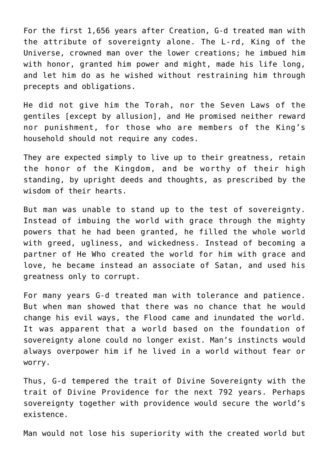For the first 1,656 years after Creation, G-d treated man with the attribute of sovereignty alone. The L-rd, King of the Universe, crowned man over the lower creations; he imbued him with honor, granted him power and might, made his life long, and let him do as he wished without restraining him through precepts and obligations.

He did not give him the Torah, nor the Seven Laws of the gentiles [except by allusion], and He promised neither reward nor punishment, for those who are members of the King's household should not require any codes.

They are expected simply to live up to their greatness, retain the honor of the Kingdom, and be worthy of their high standing, by upright deeds and thoughts, as prescribed by the wisdom of their hearts.

But man was unable to stand up to the test of sovereignty. Instead of imbuing the world with grace through the mighty powers that he had been granted, he filled the whole world with greed, ugliness, and wickedness. Instead of becoming a partner of He Who created the world for him with grace and love, he became instead an associate of Satan, and used his greatness only to corrupt.

For many years G-d treated man with tolerance and patience. But when man showed that there was no chance that he would change his evil ways, the Flood came and inundated the world. It was apparent that a world based on the foundation of sovereignty alone could no longer exist. Man's instincts would always overpower him if he lived in a world without fear or worry.

Thus, G-d tempered the trait of Divine Sovereignty with the trait of Divine Providence for the next 792 years. Perhaps sovereignty together with providence would secure the world's existence.

Man would not lose his superiority with the created world but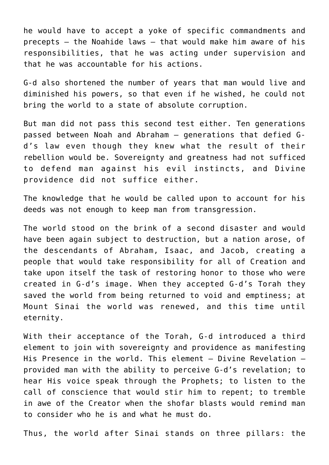he would have to accept a yoke of specific commandments and precepts  $-$  the Noahide laws  $-$  that would make him aware of his responsibilities, that he was acting under supervision and that he was accountable for his actions.

G-d also shortened the number of years that man would live and diminished his powers, so that even if he wished, he could not bring the world to a state of absolute corruption.

But man did not pass this second test either. Ten generations passed between Noah and Abraham — generations that defied Gd's law even though they knew what the result of their rebellion would be. Sovereignty and greatness had not sufficed to defend man against his evil instincts, and Divine providence did not suffice either.

The knowledge that he would be called upon to account for his deeds was not enough to keep man from transgression.

The world stood on the brink of a second disaster and would have been again subject to destruction, but a nation arose, of the descendants of Abraham, Isaac, and Jacob, creating a people that would take responsibility for all of Creation and take upon itself the task of restoring honor to those who were created in G-d's image. When they accepted G-d's Torah they saved the world from being returned to void and emptiness; at Mount Sinai the world was renewed, and this time until eternity.

With their acceptance of the Torah, G-d introduced a third element to join with sovereignty and providence as manifesting His Presence in the world. This element — Divine Revelation provided man with the ability to perceive G-d's revelation; to hear His voice speak through the Prophets; to listen to the call of conscience that would stir him to repent; to tremble in awe of the Creator when the shofar blasts would remind man to consider who he is and what he must do.

Thus, the world after Sinai stands on three pillars: the